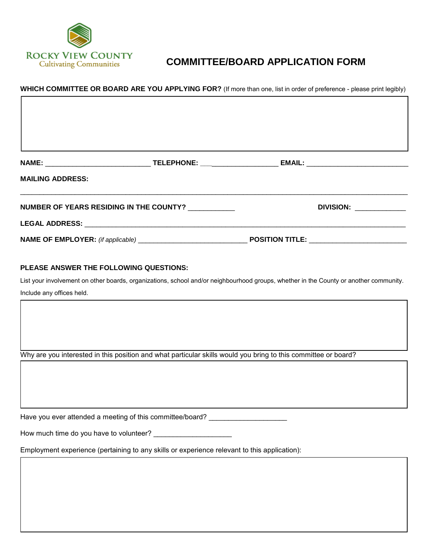

## **COMMITTEE/BOARD APPLICATION FORM**

## **WHICH COMMITTEE OR BOARD ARE YOU APPLYING FOR?** (If more than one, list in order of preference - please print legibly)

| <b>NAME:</b><br><u> 1989 - Johann Barbara, martin amerikan basar da</u>         | TELEPHONE: _____________________ |                        |  |
|---------------------------------------------------------------------------------|----------------------------------|------------------------|--|
| <b>MAILING ADDRESS:</b>                                                         |                                  |                        |  |
| NUMBER OF YEARS RESIDING IN THE COUNTY? NUMBER OF YEARS RESIDING IN THE COUNTY? |                                  | DIVISION: ________     |  |
|                                                                                 |                                  |                        |  |
|                                                                                 |                                  | <b>POSITION TITLE:</b> |  |

## **PLEASE ANSWER THE FOLLOWING QUESTIONS:**

List your involvement on other boards, organizations, school and/or neighbourhood groups, whether in the County or another community. Include any offices held.

Why are you interested in this position and what particular skills would you bring to this committee or board?

Have you ever attended a meeting of this committee/board? \_\_\_\_\_\_\_\_\_\_\_\_\_\_\_\_\_\_\_\_\_\_

How much time do you have to volunteer? \_\_\_\_\_\_\_\_\_\_\_\_\_\_\_\_\_\_\_\_

Employment experience (pertaining to any skills or experience relevant to this application):